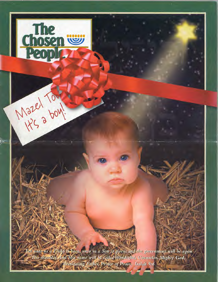

The

**People** 

Wazel Towl .

**nosen**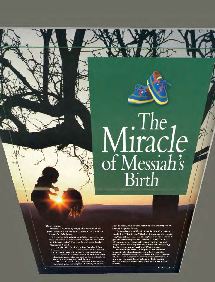# Miracle<br>of Messiah's<br>Birth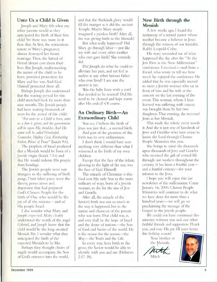#### **Unto Us a Child is Given**

**Joseph and Mary felt what any other parents would as they anticipated the birth of their first child.Yet there was more to it than that. At first, the miraculous nature of Mary's pregnancy almost destroyed her future marriage. Then, the hatred of Herod almost cost them their lives. But Joseph, understanding the nature of the child to be born, provided protection for Mary and her son. And God Himself protected them all.** 

**Perhaps Joseph also understood that the waiting period for this child stretched back far more than nine months. The Jewish people had been waiting thousands of years for the arrival of this child:** 

*"For unto us a Child is born, unto us a Son is given; and the government will be upon His shoulder. And His name will be called Wondeful, Counselor, Mighty God, Everlasting Father, Prince of Peace"* **(Isaiah 9:6).** 

**The prophets of Israel predicted that a Messiah would be born of a Jewish virgin (Isaiah 7:14) and that He would redeem His people from bondage.** 

**The Jewish people were not strangers to the suffering of birth pangs. Their labor pains were the slavery, persecution and dispersion that had prepared God's Chosen People for the birth of One who would be the joy of all the nations—and of His people Israel.** 

**I also wonder what Mary and Joseph expected. Mary clearly understood the words of the angel Gabriel, and Joseph knew that the child would be the long-awaited Messiah.Yet, I wonder what they anticipated the birth of the expected Messiah to be like.** 

**Perhaps they thought choirs of angels would accompany the Son of God's entrance into the world,** 

**and that the Shekinah glory would fill the manger as it did the ancient Temple. Maybe Mary simply imagined a painless birth? After all, she was giving birth to the Messiah!** 

**But what really happened? Did Mary go through labor—just like my wife and every other mother**  who ever gave birth? She certainly **did.** 

**Did Joseph do what he could to alleviate her pain, and yet feel as useless as any other human father who ever lived? I am sure the answer is yes.** 

**Was the baby born with a cord that needed to be severed? Did He need to be cleaned and kept warm after His ordeal? Of course.** 

#### **An Ordinary Birth—An Extraordinary Child**

**You see, I believe the birth of Jesus was just that...a normal birth.** 

**And part of the greatness of this birth was its very ordinariness.** 

**I don't think I would have seen anything very different than what I witnessed at the birth of my own children.** 

**Except that the face of the infant, glowing in the light of the star, was the face of God Himself.** 

**The miracle of Christmas is this: God sent His only Son in the most ordinary of ways, born of a Jewish woman, to die for the sins of Jew and Gentile.** 

**After all, the miracle of the Savior's birth was not so much in the way it happened, but in the nature and character of the person who was born.That child was, is, and ever shall be the hope of Israel and the desire of nations—the Son of God and Savior of the world. He is the reason for the season—the Way— the Truth and the Life.** 

**In every way, from birth to the grave, the Savior would be able to identify with you and me (Hebrews 2:17-18).** 

#### **New Birth through the Messiah**

**A few weeks ago, I heard the testimony of a retired pastor whose mother became a believer in Jesus through the witness of our founder, Rabbi Leopold Cohn.** 

**His story reminded me of what happened the day after the "To the Jew First in the New Millennium" conference. I received e-mail from a friend, who wrote to tell me how much he enjoyed the conference. He added that he was especially moved to meet a Jewish woman who sat in front of him and his wife at the concert on the last evening of the event. This woman, whom I later learned was suffering with cancer, was brought there by her two daughters.That evening, she received Jesus as her Messiah.** 

**This made the whole event worth it. And she is just one of hundreds of Jews and Gentiles who have come to know the Lord through Chosen People Ministries this year.** 

**She brings to mind the thousands upon thousands of Jews and Gentiles who received the gift of eternal life through our workers throughout the century. It has been a fruitful year and a fruitful century—for your mission to the Jews.** 

**I hope you will enjoy this last newsletter of the millennium. Come January 1st, 2000, Chosen People Ministries will continue to do what we have done for more than a hundred years—we will go on proclaiming the message of the Gospel to the Jewish people.** 

We could not have continued this **ministry without you and our other faithful friends and supporters. Thank you, and may His joy fill your home this holiday season!** 

**Your brother in**  the Messiah.

**Mitch** 

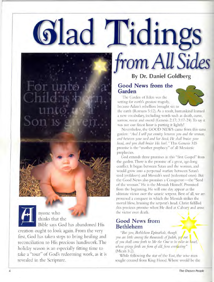# **L'idin** *from All Sides*

nyone who thinks that the

Bible says God has abandoned His creation ought to look again. From the very first, God has taken steps to bring healing and reconciliation to His precious handiwork. The holiday season is an especially fitting time to take a "tour" of God's redeeming work, as it is revealed in the Scripture.

### By Dr. Daniel Goldberg

#### Good News from the **Garden**

The Garden of Eden was the setting for earth's greatest tragedy, because Adam's rebellion brought sin to the earth (Romans 5:12). As a result, humankind learned a new vocabulary, including words such as death, curse,

sorrow, sweat and sword (Genesis 2:17; 3:17-24).To say it was not our finest hour is putting it lightly!

Nevertheless, the GOOD NEWS came from this same garden: *"And I will put enmity between you and the woman, and between your seed and her Seed; He shall bruise your head, and you shall bruise His heel."This* Genesis 3:15 promise is the "mother prophecy" of all Messianic prophecies.

God extends three promises in this "first Gospel" from the garden.There is the promise of a great, age-long conflict. It began between Satan and the woman, and would grow into a perpetual warfare between Satan's seed (evildoers) and Messiah's seed (redeemed ones). But the Good News also promises a Conqueror—the "Seed of the woman." He is the Messiah Himself. Promised from the beginning, He will one day appear as the ultimate victor over the satanic serpent. Best of all, we are promised a conquest in which the Messiah strikes the mortal blow, bruising the serpent's head. Christ fulfilled this precious promise when He died at Calvary and arose the victor over death.

#### Good News from Bethlehem

*"But you, Bethlehem Ephrathah, though*  you are little among the thousands of Judah, yet out *of you shall come forth to Me the One to be ruler in Israel, whose goings forth are from of old, from everlasting"*  (Micah 5:2).

While following the star of the East, the wise men sought counsel from King Herod. Where would be the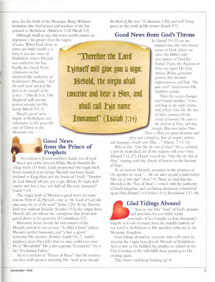place for the birth of the Messianic King? Without hesitation, the chief priests and teachers of the law pointed to Bethlehem (Matthew 2:1ff; Micah 5:2).

Although small in size, this town would assume an importance far greater than the largest

of cities. When God chose to enter our sinful world as a baby, it was the town of Bethlehem where Messiah was cradled in the hay. Finally, the Good News culminates in the shepherd-like authority of Bethlehem's Messiah: *"And He shall stand and feed His flock in the strength of the LORD..."* (Micah 5:4).This Shepherd will provide perfect security for His sheep (Micah 5:4, 5).

Micah's good news begins at Bethlehem and culminates in the peaceful rule of Christ in the Messianic era.

**"'Therefore the Lord**  *<u>inimself</u>* will give you a sign: **Oehold, the virgin shall**  conceive and bear a Son, and **shall call his name Immanuel"** (Isaiah  $7:14$ )

*the blood of His cross"* (Colossians 1:20), and will bring peace to the earth at His return (Isaiah 9:7).

#### **Good News from God's Throne**

In Daniel 7:9-10, we are ushered into the very throne room of God, where we view the Bible's only description of God the Father. There, the Ancient of Days sits upon His fiery throne. White garments portray His absolute righteousness, and hair *"like pure wool"* underscores His deathless nature.

Then the scene changes and Daniel testifies, *"I was watching in the night visions, and, behold, One like the Son of Man, coming with the clouds of heaven! He came to the Ancient of Days, and they brought Him near before Him.* 

*Then to Him was given dominion and glory and a kingdom, that all peoples, nations, and languages should serve Him..."* (Daniel 7:13, 14).

#### **Good News from the Prince of Prophets**

According to Jewish tradition, Isaiah was of royal blood and noble descent. While Micah foretold the village birth of Christ, Isaiah prophesied His virgin birth. Seven hundred years before Messiah was born, Isaiah declared to King Ahaz and the house of David, *"Therefore the Lord Himself will give you a sign: Behold, the virgin shall conceive and bear a Son, and shall call His name Immanuel"*  (Isaiah 7:14).

The virgin birth of Messiah is good news for many reasons. First of all, Messiah came as *"the Lamb of God who takes away the sin of the world"* (John 1:29). As the Passover lamb was without blemish (Exodus 12:5), the virgin-born Messiah did not inherit the corruption that Adam had passed down to his posterity (I Corinthians 5:7).

Moreover, Isaiah reveals the two natures of the Messiah, united in one person. "A child is born" reflects Messiah's perfect humanity, and "a Son is given" represents His absolute divinity (Isaiah 9:6, 7). Isaiah's prophecy gives Him titles that no man could ever own. He is "Wonderful." He is the supreme "Counselor?' He is the "Everlasting Father?'

Yet it is perhaps as "Prince of Peace" that He touches our lives with greatest meaning. He *"made peace through* 

Who is this *"One like the Son of Man?"* He is certainly a specific individual, for all the nations will serve Him (Daniel 7:14, 27). Daniel viewed the *"One like the Son of*  Man" coming with the clouds of heaven to the Ancient of Days.

As we turn to Messiah's ascension in the presence of His apostles we read, *"...He was taken up, and a cloud received Him out of their sight"* (Acts 1:9). Now, we find that the Messiah is the "Son of Man"—vested with the authority of God's kingdom, and everlasting dominion is bestowed upon Him (Daniel 7:14; Psalm 110:1; Revelation 1:17-18).

#### **G**lad **Tidings Abound**

And so, our little "tour" of God's promise and provision for our sinful world

concludes. It has brought us from humanity's tragedy to God's triumph; from the humble nativity of our Lord in Bethlehem to His unveiled authority in the Messianic Kingdom.

Glad tidings abound to everyone who will come to worship the virgin-born Jewish Messiah of Bethlehem. And as sure as He fulfilled the prophecies related to the First Coming, so He will fulfill those pointing to His coming again.

Take heart—and keep looking up!  $\ddot{\Phi}$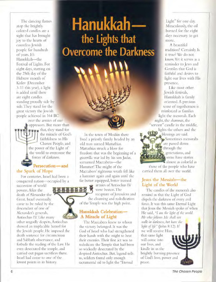The dancing flames atop the brightly colored candles are a sight that has brought joy to the hearts of countless Jewish people for hundreds of years. It's Hanukkah—the Festival of Lights. For eight days, starting on the 25th day of the Hebrew month of Kislev (December 3-11 this year), a light is added until there are eight candles standing proudly side b side. They stand for the great victory the Jewish people achieved in 164 BC over the armies of our

oppressors. But more than **THE** that, they stand for the miracle of God's faithfulness to His Chosen People, and the power of the Light of the world to overcome the forces of darkness.

#### **Persecution—and the Spark of Hope**

For centuries, Israel had been a conquered nation—occupied by a

succession of world powers. After the death of Alexander the Great, Israel eventually came to be ruled by the descendant of one of Alexander's generals, Antiochus IV. Like many other ungodly despots, Antiochus showed an implacable hatred for the Jewish people. He imposed the death sentence for circumcision and Sabbath observance, and forbade the reading of the Law. He even desecrated the temple, and carried out pagan sacrifices there. Israel had come to one of the lowest points in its history.

### **Hanukkahthe Lights that Overcome the Darkness**

 $\boldsymbol{w}$ 

•

•

J.

In the town of Modiin there lived a priestly family headed by an old man named Mattathias. Mattathias struck a blow for freedom that was the beginning of a guerrilla war led by his son Judas, surnamed Maccabeus—the Hammer! The might of the Maccabees' righteous wrath fell like a hammer again and again until the far better equipped, better trained

armies of Antiochus IV were beaten. The recapture of Jerusalem and the cleansing and rededication of the Temple was the high point.

#### **Hanukkah Celebration A Miracle of Light**

The Maccabees knew to whom the victory belonged. It was the God of Israel who had strengthened their hands with the might to beat their enemies. Their first act was to rededicate the Temple that had been so wickedly desecrated by the despised Antiochus. But, legend tells us, soldiers found only enough sacramental oil to light the "Eternal

Light" for one day. Miraculously, the oil burned for the eight days necessary to get more.

A beautiful tradition? Certainly. Is it true? We do not know Yet it serves as a reminder to Jews and Gentiles that God is faithful and desires to light our lives with His presence.

Like most other Jewish festivals, Hanukkah is family oriented. A precious sense of togetherness is reinforced as families light the menorah. Each night, the shammas, the "servant" candle in the middle, lights the others and the

blessings are said. Sometimes menoralis are passed down through the generations, and some have stories almost as colorful as

those of the people who have carried them all over the world.

#### **Jesus the Messiah—the Light of the World**

The candles of the menorah also remind us that the Light of God dispels the darkness of every evil force. It was this same Eternal Light that Jesus the Messiah spoke of when He said, "I am the light of the world. He who follows Me shall not walk in darkness, but have the light of life" (John 8:12). If we will receive Him, that same light will come into our lives, and kindle in us the brightly burning presence of God's love, power and peace.

6 **The Chosen People**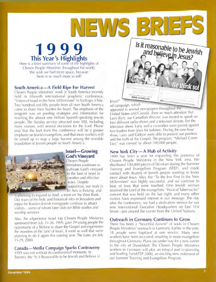### **1999 This Year's Highlights**

Here is a brief summary of some of the highlights of Chosen People Ministries throughout the world. We wish we had more space, because there is so much more to tell!

#### **South America—A Field Ripe For Harvest**

Chosen People Ministries' work in South America recently held its fifteenth international prophetic conference, "Vision of Israel in the New Millennium" in Santiago, Chile. Two hundred and fifty people from all over South America came to share their burden for Israel. The emphasis of the program was on pooling strategies and information for reaching the almost one million Spanish-speaking Jewish people. The Sunday service attracted over 500, including many visitors, with several decisions for the Lord. Please pray that the fruit from this conference will be a greater emphasis on Jewish evangelism, and that more workers will be raised up to reap a large harvest among the sizeable population of Jewish people in South America.



#### **Israel—Growing God's Vineyard**

Chosen People **<sup>2</sup>** Ministries continues to cultivate God's vineyard n the land of Israel in creative and effective **at!** ways. Despite opposition, our work in Tel Aviv is thriving, and

is planning to expand to Arid, a town on the West Bank. Our tours of the holy and historical sites in Jerusalem and Joppa for Russian Jewish immigrants continue to attract visitors—some of whom later visit our Bible studies and worship services.

Also, the eXperience Israel trip Chosen People Ministries sponsored from July 14-26, 1999, gave 29 young people the opportunity of a lifetime to share the Gospel and experience the wonders of the land of Israel. It went so well that we're planning to do it again this coming year. The dates are July 15-29, 2000.

#### **Canada—Media Campaign Sparks Controversy**

1999 was not without its controversial moments. In Toronto, the "Is It Reasonable to be Jewish and Believe in Jesus?" ad campaign, whic

 $MEWS$ 

appeared in several newspapers throughout the United States and Canada, drew so much attention that Larry Rich, our Canadian director, was invited to speak on four different radio shows and a televised debate. For the television show, Larry and a co-worker were paired against two leaders from Jews for Judaism. During the one-hour show, Larry and Gideon were able to present our position and the truth of the Gospel. The program, "Michael Coren Live," was viewed by about 100,000 people.

and believe in Jesus?<br>and believe in Jesus?

r4S

#### **New York City—A Hub of Activity**

(888) 4-HALLEL

1999 has been a year for expanding the presence of Chosen People Ministries in the New York area. We distributed 100,000 pieces of literature during the Summer Training and Evangelism Program (STEP), and made contact with dozens of Jewish people wanting to know more about Jesus. Also, the "To the Jew First in the New Millennium" was highly successful, and we continue to hear of lives that were touched. One Jewish woman received the Lord at the evangelistic "Feast of Tabernacles" concert that was held on the last night, and many other visitors have expressed interest in our message. The day after the conference, we had a dedication service for our new International Executive Headquarters on East 51st Street—just around the corner from the United Nations.

#### **Outreach in Germany Continues to Grow**

There has been a "bountiful harvest" of souls in Chosen People Ministries' outreach in Germany. Earlier in the year, 18 people were baptized at one service. Many new workers have been recruited, resulting in more evangelism throughout Germany. Plans are under way for a new center in the city of Dusseldorf. The Chosen People Ministries workers in Germany will play an integral part in planning and leading EuroSTEP 2000, an exciting new extension of our Summer Training and Evangelism Program.